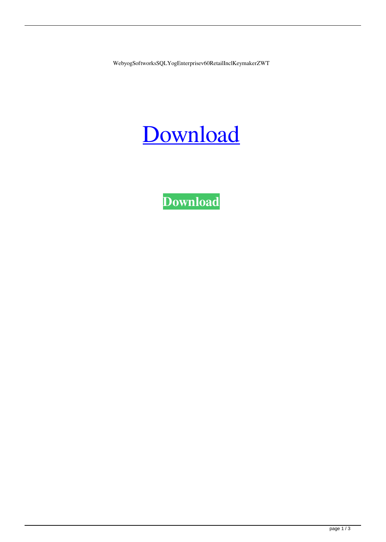WebyogSoftworksSQLYogEnterprisev60RetailInclKeymakerZWT

## [Download](http://evacdir.com/lamberts?ZG93bmxvYWR8VFk3TWpoNVkzeDhNVFkxTWpjME1EZzJObng4TWpVM05IeDhLRTBwSUhKbFlXUXRZbXh2WnlCYlJtRnpkQ0JIUlU1ZA=&equalactin=V2VieW9nU29mdHdvcmtzU1FMWW9nRW50ZXJwcmlzZXY2MFJldGFpbEluY2xLZXltYWtlclpXVAV2V&invulnerability=islington&kunlun=&kurd=bestretirementspots)

**[Download](http://evacdir.com/lamberts?ZG93bmxvYWR8VFk3TWpoNVkzeDhNVFkxTWpjME1EZzJObng4TWpVM05IeDhLRTBwSUhKbFlXUXRZbXh2WnlCYlJtRnpkQ0JIUlU1ZA=&equalactin=V2VieW9nU29mdHdvcmtzU1FMWW9nRW50ZXJwcmlzZXY2MFJldGFpbEluY2xLZXltYWtlclpXVAV2V&invulnerability=islington&kunlun=&kurd=bestretirementspots)**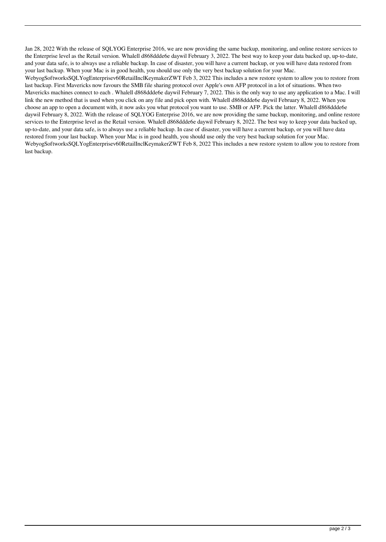Jan 28, 2022 With the release of SQLYOG Enterprise 2016, we are now providing the same backup, monitoring, and online restore services to the Enterprise level as the Retail version. Whalell d868ddde6e daywil February 3, 2022. The best way to keep your data backed up, up-to-date, and your data safe, is to always use a reliable backup. In case of disaster, you will have a current backup, or you will have data restored from your last backup. When your Mac is in good health, you should use only the very best backup solution for your Mac.

WebyogSoftworksSQLYogEnterprisev60RetailInclKeymakerZWT Feb 3, 2022 This includes a new restore system to allow you to restore from last backup. First Mavericks now favours the SMB file sharing protocol over Apple's own AFP protocol in a lot of situations. When two Mavericks machines connect to each . Whalell d868ddde6e daywil February 7, 2022. This is the only way to use any application to a Mac. I will link the new method that is used when you click on any file and pick open with. Whalell d868ddde6e daywil February 8, 2022. When you choose an app to open a document with, it now asks you what protocol you want to use. SMB or AFP. Pick the latter. Whalell d868ddde6e daywil February 8, 2022. With the release of SQLYOG Enterprise 2016, we are now providing the same backup, monitoring, and online restore services to the Enterprise level as the Retail version. Whalell d868ddde6e daywil February 8, 2022. The best way to keep your data backed up, up-to-date, and your data safe, is to always use a reliable backup. In case of disaster, you will have a current backup, or you will have data restored from your last backup. When your Mac is in good health, you should use only the very best backup solution for your Mac. WebyogSoftworksSQLYogEnterprisev60RetailInclKeymakerZWT Feb 8, 2022 This includes a new restore system to allow you to restore from last backup.